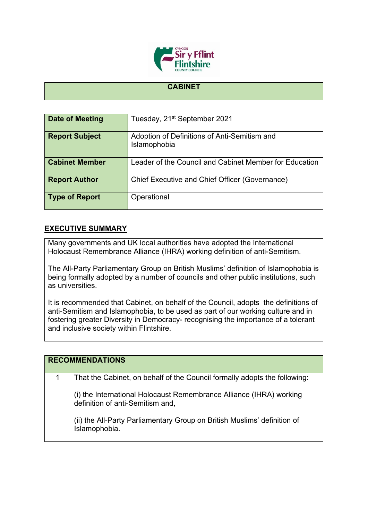

## **CABINET**

| <b>Date of Meeting</b> | Tuesday, 21 <sup>st</sup> September 2021                     |
|------------------------|--------------------------------------------------------------|
| <b>Report Subject</b>  | Adoption of Definitions of Anti-Semitism and<br>Islamophobia |
| <b>Cabinet Member</b>  | Leader of the Council and Cabinet Member for Education       |
| <b>Report Author</b>   | <b>Chief Executive and Chief Officer (Governance)</b>        |
| <b>Type of Report</b>  | Operational                                                  |

## **EXECUTIVE SUMMARY**

Many governments and UK local authorities have adopted the International Holocaust Remembrance Alliance (IHRA) working definition of anti-Semitism.

The All-Party Parliamentary Group on British Muslims' definition of Islamophobia is being formally adopted by a number of councils and other public institutions, such as universities.

It is recommended that Cabinet, on behalf of the Council, adopts the definitions of anti-Semitism and Islamophobia, to be used as part of our working culture and in fostering greater Diversity in Democracy- recognising the importance of a tolerant and inclusive society within Flintshire.

| <b>RECOMMENDATIONS</b>                                                                                  |
|---------------------------------------------------------------------------------------------------------|
| That the Cabinet, on behalf of the Council formally adopts the following:                               |
| (i) the International Holocaust Remembrance Alliance (IHRA) working<br>definition of anti-Semitism and, |
| (ii) the All-Party Parliamentary Group on British Muslims' definition of Islamophobia.                  |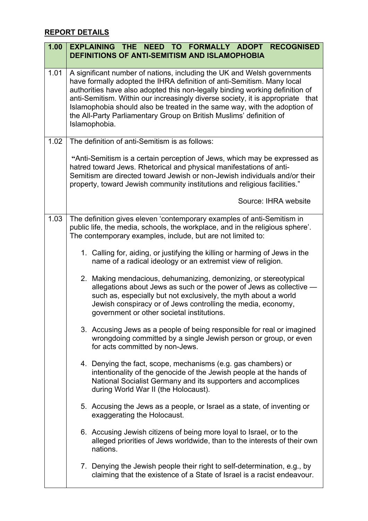## **REPORT DETAILS**

| 1.00 | EXPLAINING THE NEED TO FORMALLY ADOPT RECOGNISED<br><b>DEFINITIONS OF ANTI-SEMITISM AND ISLAMOPHOBIA</b>                                                                                                                                                                                                                                                                                                                                                                                 |
|------|------------------------------------------------------------------------------------------------------------------------------------------------------------------------------------------------------------------------------------------------------------------------------------------------------------------------------------------------------------------------------------------------------------------------------------------------------------------------------------------|
| 1.01 | A significant number of nations, including the UK and Welsh governments<br>have formally adopted the IHRA definition of anti-Semitism. Many local<br>authorities have also adopted this non-legally binding working definition of<br>anti-Semitism. Within our increasingly diverse society, it is appropriate that<br>Islamophobia should also be treated in the same way, with the adoption of<br>the All-Party Parliamentary Group on British Muslims' definition of<br>Islamophobia. |
| 1.02 | The definition of anti-Semitism is as follows:                                                                                                                                                                                                                                                                                                                                                                                                                                           |
|      | "Anti-Semitism is a certain perception of Jews, which may be expressed as<br>hatred toward Jews. Rhetorical and physical manifestations of anti-<br>Semitism are directed toward Jewish or non-Jewish individuals and/or their<br>property, toward Jewish community institutions and religious facilities."                                                                                                                                                                              |
|      | Source: IHRA website                                                                                                                                                                                                                                                                                                                                                                                                                                                                     |
| 1.03 | The definition gives eleven 'contemporary examples of anti-Semitism in<br>public life, the media, schools, the workplace, and in the religious sphere'.<br>The contemporary examples, include, but are not limited to:                                                                                                                                                                                                                                                                   |
|      | 1. Calling for, aiding, or justifying the killing or harming of Jews in the<br>name of a radical ideology or an extremist view of religion.                                                                                                                                                                                                                                                                                                                                              |
|      | 2. Making mendacious, dehumanizing, demonizing, or stereotypical<br>allegations about Jews as such or the power of Jews as collective -<br>such as, especially but not exclusively, the myth about a world<br>Jewish conspiracy or of Jews controlling the media, economy,<br>government or other societal institutions.                                                                                                                                                                 |
|      | 3. Accusing Jews as a people of being responsible for real or imagined<br>wrongdoing committed by a single Jewish person or group, or even<br>for acts committed by non-Jews.                                                                                                                                                                                                                                                                                                            |
|      | 4. Denying the fact, scope, mechanisms (e.g. gas chambers) or<br>intentionality of the genocide of the Jewish people at the hands of<br>National Socialist Germany and its supporters and accomplices<br>during World War II (the Holocaust).                                                                                                                                                                                                                                            |
|      | 5. Accusing the Jews as a people, or Israel as a state, of inventing or<br>exaggerating the Holocaust.                                                                                                                                                                                                                                                                                                                                                                                   |
|      | 6. Accusing Jewish citizens of being more loyal to Israel, or to the<br>alleged priorities of Jews worldwide, than to the interests of their own<br>nations.                                                                                                                                                                                                                                                                                                                             |
|      | 7. Denying the Jewish people their right to self-determination, e.g., by<br>claiming that the existence of a State of Israel is a racist endeavour.                                                                                                                                                                                                                                                                                                                                      |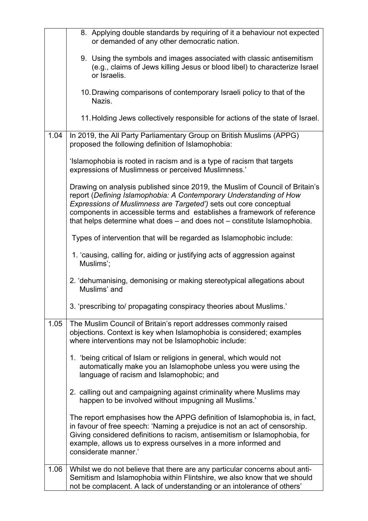|      | 8. Applying double standards by requiring of it a behaviour not expected<br>or demanded of any other democratic nation.                                                                                                                                                                                                                                                        |
|------|--------------------------------------------------------------------------------------------------------------------------------------------------------------------------------------------------------------------------------------------------------------------------------------------------------------------------------------------------------------------------------|
|      | 9. Using the symbols and images associated with classic antisemitism<br>(e.g., claims of Jews killing Jesus or blood libel) to characterize Israel<br>or Israelis.                                                                                                                                                                                                             |
|      | 10. Drawing comparisons of contemporary Israeli policy to that of the<br>Nazis.                                                                                                                                                                                                                                                                                                |
|      | 11. Holding Jews collectively responsible for actions of the state of Israel.                                                                                                                                                                                                                                                                                                  |
| 1.04 | In 2019, the All Party Parliamentary Group on British Muslims (APPG)<br>proposed the following definition of Islamophobia:                                                                                                                                                                                                                                                     |
|      | 'Islamophobia is rooted in racism and is a type of racism that targets<br>expressions of Muslimness or perceived Muslimness.'                                                                                                                                                                                                                                                  |
|      | Drawing on analysis published since 2019, the Muslim of Council of Britain's<br>report (Defining Islamophobia: A Contemporary Understanding of How<br>Expressions of Muslimness are Targeted') sets out core conceptual<br>components in accessible terms and establishes a framework of reference<br>that helps determine what does - and does not - constitute Islamophobia. |
|      | Types of intervention that will be regarded as Islamophobic include:                                                                                                                                                                                                                                                                                                           |
|      | 1. 'causing, calling for, aiding or justifying acts of aggression against<br>Muslims';                                                                                                                                                                                                                                                                                         |
|      | 2. 'dehumanising, demonising or making stereotypical allegations about<br>Muslims' and                                                                                                                                                                                                                                                                                         |
|      | 3. 'prescribing to/ propagating conspiracy theories about Muslims.'                                                                                                                                                                                                                                                                                                            |
| 1.05 | The Muslim Council of Britain's report addresses commonly raised<br>objections. Context is key when Islamophobia is considered; examples<br>where interventions may not be Islamophobic include:                                                                                                                                                                               |
|      | 1. 'being critical of Islam or religions in general, which would not<br>automatically make you an Islamophobe unless you were using the<br>language of racism and Islamophobic; and                                                                                                                                                                                            |
|      | 2. calling out and campaigning against criminality where Muslims may<br>happen to be involved without impugning all Muslims.'                                                                                                                                                                                                                                                  |
|      | The report emphasises how the APPG definition of Islamophobia is, in fact,<br>in favour of free speech: 'Naming a prejudice is not an act of censorship.<br>Giving considered definitions to racism, antisemitism or Islamophobia, for<br>example, allows us to express ourselves in a more informed and<br>considerate manner.'                                               |
| 1.06 | Whilst we do not believe that there are any particular concerns about anti-<br>Semitism and Islamophobia within Flintshire, we also know that we should<br>not be complacent. A lack of understanding or an intolerance of others'                                                                                                                                             |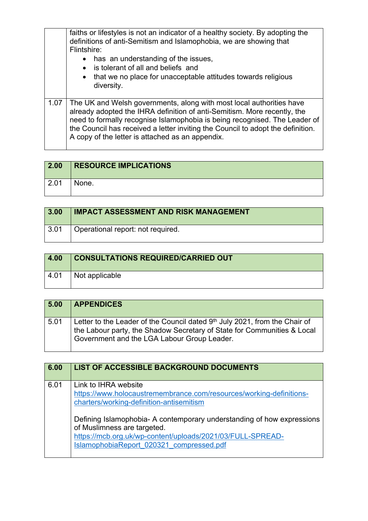|      | faiths or lifestyles is not an indicator of a healthy society. By adopting the<br>definitions of anti-Semitism and Islamophobia, we are showing that<br>Flintshire:<br>has an understanding of the issues,<br>$\bullet$<br>• is tolerant of all and beliefs and<br>• that we no place for unacceptable attitudes towards religious<br>diversity.                      |
|------|-----------------------------------------------------------------------------------------------------------------------------------------------------------------------------------------------------------------------------------------------------------------------------------------------------------------------------------------------------------------------|
| 1.07 | The UK and Welsh governments, along with most local authorities have<br>already adopted the IHRA definition of anti-Semitism. More recently, the<br>need to formally recognise Islamophobia is being recognised. The Leader of<br>the Council has received a letter inviting the Council to adopt the definition.<br>A copy of the letter is attached as an appendix. |

| 2.00 | <b>RESOURCE IMPLICATIONS</b> |
|------|------------------------------|
| 2.01 | None.                        |

| 3.00               | <b>IMPACT ASSESSMENT AND RISK MANAGEMENT</b> |
|--------------------|----------------------------------------------|
| $\vert 3.01 \vert$ | Operational report: not required.            |

| 4.00            | <b>CONSULTATIONS REQUIRED/CARRIED OUT</b> |
|-----------------|-------------------------------------------|
| $^{\circ}$ 4.01 | Not applicable                            |

| 5.00 | <b>APPENDICES</b>                                                                                                                                                                                      |
|------|--------------------------------------------------------------------------------------------------------------------------------------------------------------------------------------------------------|
| 5.01 | Letter to the Leader of the Council dated $9th$ July 2021, from the Chair of<br>the Labour party, the Shadow Secretary of State for Communities & Local<br>Government and the LGA Labour Group Leader. |

| 6.00 | LIST OF ACCESSIBLE BACKGROUND DOCUMENTS                                                                                                                                                                         |
|------|-----------------------------------------------------------------------------------------------------------------------------------------------------------------------------------------------------------------|
| 6.01 | Link to IHRA website<br>https://www.holocaustremembrance.com/resources/working-definitions-<br>charters/working-definition-antisemitism                                                                         |
|      | Defining Islamophobia- A contemporary understanding of how expressions<br>of Muslimness are targeted.<br>https://mcb.org.uk/wp-content/uploads/2021/03/FULL-SPREAD-<br>IslamophobiaReport 020321 compressed.pdf |